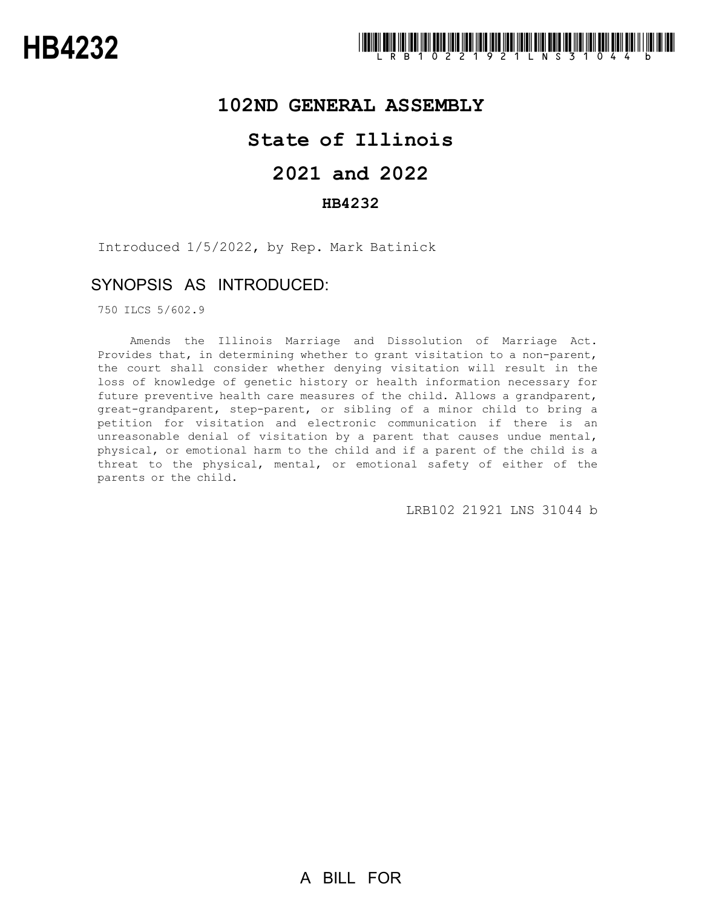# **102ND GENERAL ASSEMBLY**

# **State of Illinois**

# **2021 and 2022**

### **HB4232**

Introduced 1/5/2022, by Rep. Mark Batinick

## SYNOPSIS AS INTRODUCED:

750 ILCS 5/602.9

Amends the Illinois Marriage and Dissolution of Marriage Act. Provides that, in determining whether to grant visitation to a non-parent, the court shall consider whether denying visitation will result in the loss of knowledge of genetic history or health information necessary for future preventive health care measures of the child. Allows a grandparent, great-grandparent, step-parent, or sibling of a minor child to bring a petition for visitation and electronic communication if there is an unreasonable denial of visitation by a parent that causes undue mental, physical, or emotional harm to the child and if a parent of the child is a threat to the physical, mental, or emotional safety of either of the parents or the child.

LRB102 21921 LNS 31044 b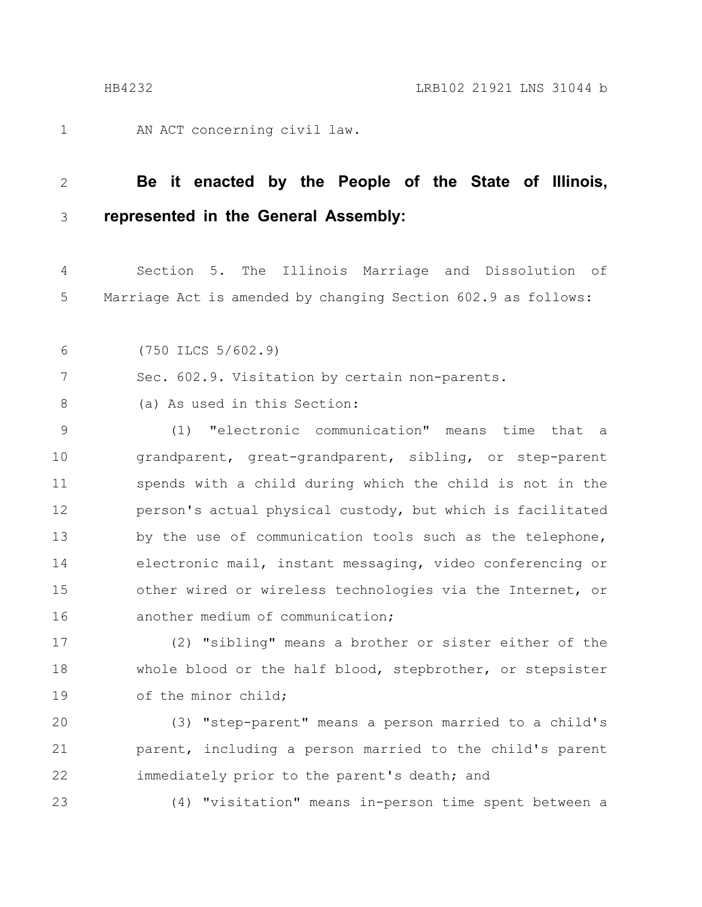1

AN ACT concerning civil law.

#### **Be it enacted by the People of the State of Illinois, represented in the General Assembly:** 2 3

Section 5. The Illinois Marriage and Dissolution of Marriage Act is amended by changing Section 602.9 as follows: 4 5

(750 ILCS 5/602.9) 6

Sec. 602.9. Visitation by certain non-parents. 7

(a) As used in this Section: 8

(1) "electronic communication" means time that a grandparent, great-grandparent, sibling, or step-parent spends with a child during which the child is not in the person's actual physical custody, but which is facilitated by the use of communication tools such as the telephone, electronic mail, instant messaging, video conferencing or other wired or wireless technologies via the Internet, or another medium of communication; 9 10 11 12 13 14 15 16

(2) "sibling" means a brother or sister either of the whole blood or the half blood, stepbrother, or stepsister of the minor child; 17 18 19

(3) "step-parent" means a person married to a child's parent, including a person married to the child's parent immediately prior to the parent's death; and 20 21 22

23

(4) "visitation" means in-person time spent between a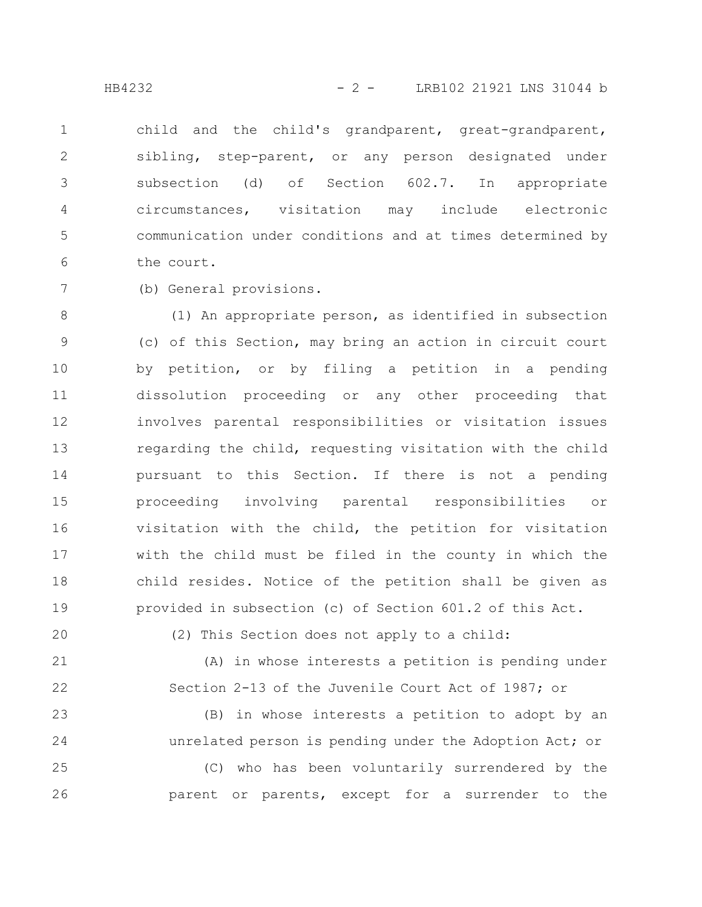child and the child's grandparent, great-grandparent, sibling, step-parent, or any person designated under subsection (d) of Section 602.7. In appropriate circumstances, visitation may include electronic communication under conditions and at times determined by the court. 1 2 3 4 5 6

7

(b) General provisions.

(1) An appropriate person, as identified in subsection (c) of this Section, may bring an action in circuit court by petition, or by filing a petition in a pending dissolution proceeding or any other proceeding that involves parental responsibilities or visitation issues regarding the child, requesting visitation with the child pursuant to this Section. If there is not a pending proceeding involving parental responsibilities or visitation with the child, the petition for visitation with the child must be filed in the county in which the child resides. Notice of the petition shall be given as provided in subsection (c) of Section 601.2 of this Act. 8 9 10 11 12 13 14 15 16 17 18 19

20

(2) This Section does not apply to a child:

(A) in whose interests a petition is pending under Section 2-13 of the Juvenile Court Act of 1987; or 21 22

(B) in whose interests a petition to adopt by an unrelated person is pending under the Adoption Act; or (C) who has been voluntarily surrendered by the parent or parents, except for a surrender to the 23 24 25 26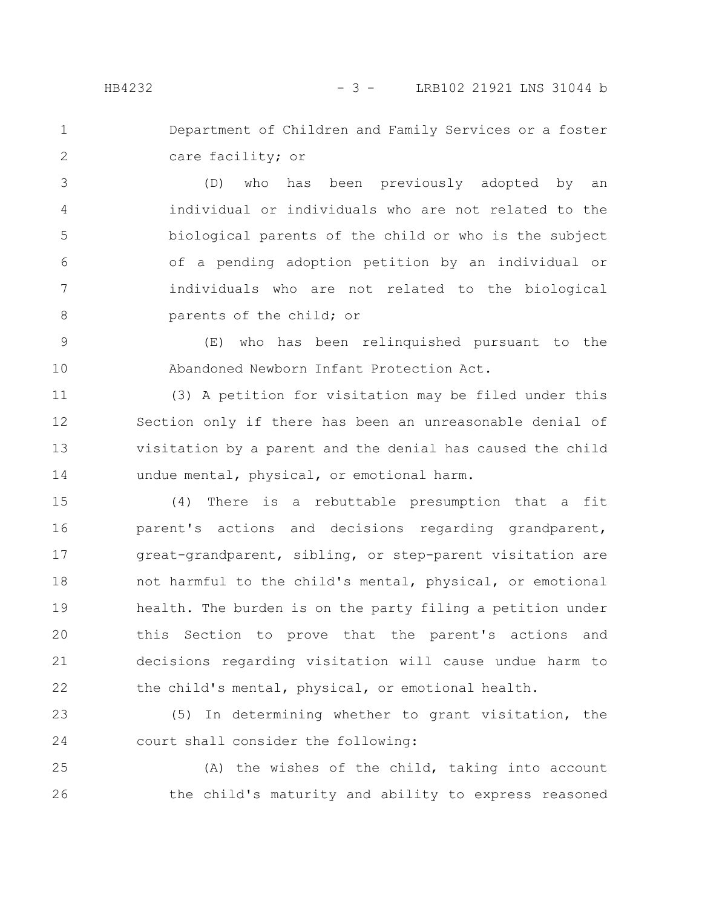1

2

Department of Children and Family Services or a foster care facility; or

(D) who has been previously adopted by an individual or individuals who are not related to the biological parents of the child or who is the subject of a pending adoption petition by an individual or individuals who are not related to the biological parents of the child; or 3 4 5 6 7 8

(E) who has been relinquished pursuant to the Abandoned Newborn Infant Protection Act. 9 10

(3) A petition for visitation may be filed under this Section only if there has been an unreasonable denial of visitation by a parent and the denial has caused the child undue mental, physical, or emotional harm. 11 12 13 14

(4) There is a rebuttable presumption that a fit parent's actions and decisions regarding grandparent, great-grandparent, sibling, or step-parent visitation are not harmful to the child's mental, physical, or emotional health. The burden is on the party filing a petition under this Section to prove that the parent's actions and decisions regarding visitation will cause undue harm to the child's mental, physical, or emotional health. 15 16 17 18 19 20 21 22

(5) In determining whether to grant visitation, the court shall consider the following: 23 24

(A) the wishes of the child, taking into account the child's maturity and ability to express reasoned 25 26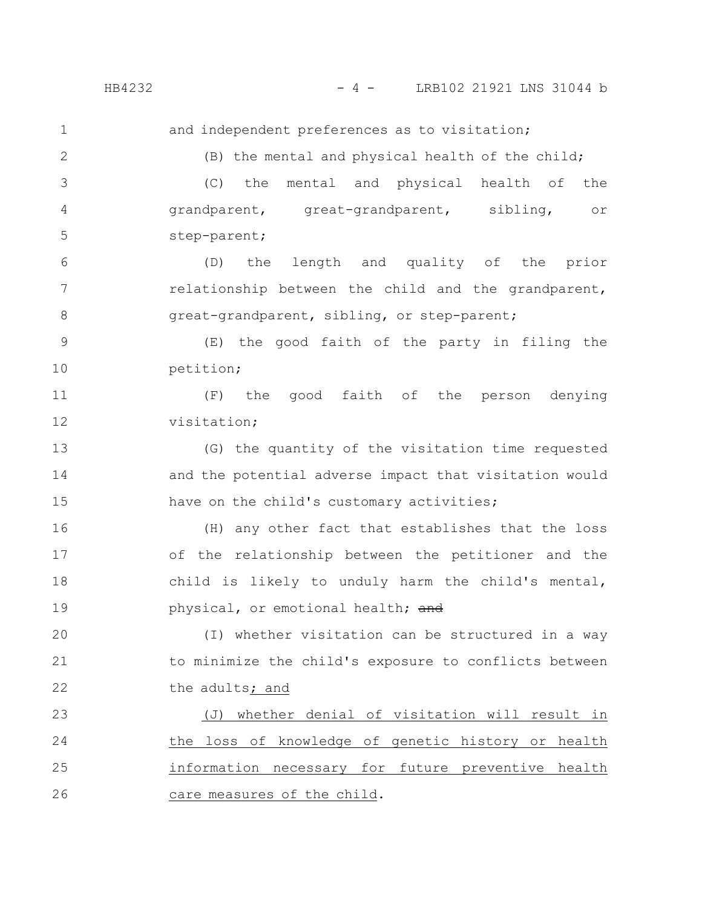HB4232 - 4 - LRB102 21921 LNS 31044 b

and independent preferences as to visitation; (B) the mental and physical health of the child; (C) the mental and physical health of the grandparent, great-grandparent, sibling, or step-parent; (D) the length and quality of the prior relationship between the child and the grandparent, great-grandparent, sibling, or step-parent; (E) the good faith of the party in filing the petition; (F) the good faith of the person denying visitation; (G) the quantity of the visitation time requested and the potential adverse impact that visitation would have on the child's customary activities; (H) any other fact that establishes that the loss of the relationship between the petitioner and the child is likely to unduly harm the child's mental, physical, or emotional health; and (I) whether visitation can be structured in a way to minimize the child's exposure to conflicts between the adults; and (J) whether denial of visitation will result in the loss of knowledge of genetic history or health information necessary for future preventive health care measures of the child. 1 2 3 4 5 6 7 8 9 10 11 12 13 14 15 16 17 18 19 20 21 22 23 24 25 26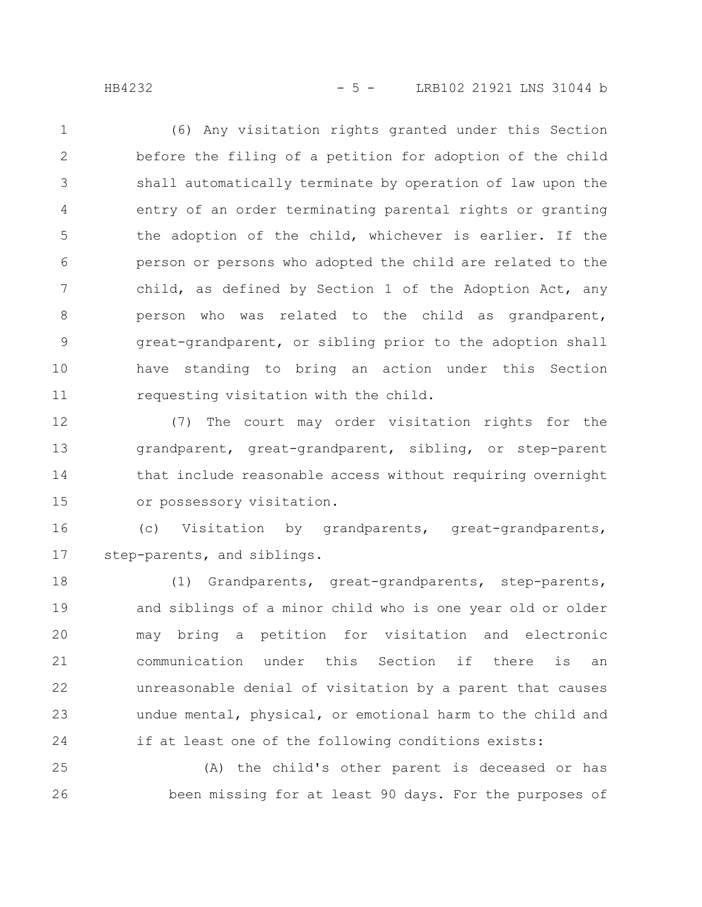HB4232 - 5 - LRB102 21921 LNS 31044 b

(6) Any visitation rights granted under this Section before the filing of a petition for adoption of the child shall automatically terminate by operation of law upon the entry of an order terminating parental rights or granting the adoption of the child, whichever is earlier. If the person or persons who adopted the child are related to the child, as defined by Section 1 of the Adoption Act, any person who was related to the child as grandparent, great-grandparent, or sibling prior to the adoption shall have standing to bring an action under this Section requesting visitation with the child. 1 2 3 4 5 6 7 8 9 10 11

(7) The court may order visitation rights for the grandparent, great-grandparent, sibling, or step-parent that include reasonable access without requiring overnight or possessory visitation. 12 13 14 15

(c) Visitation by grandparents, great-grandparents, step-parents, and siblings. 16 17

(1) Grandparents, great-grandparents, step-parents, and siblings of a minor child who is one year old or older may bring a petition for visitation and electronic communication under this Section if there is an unreasonable denial of visitation by a parent that causes undue mental, physical, or emotional harm to the child and if at least one of the following conditions exists: 18 19 20 21 22 23 24

(A) the child's other parent is deceased or has been missing for at least 90 days. For the purposes of 25 26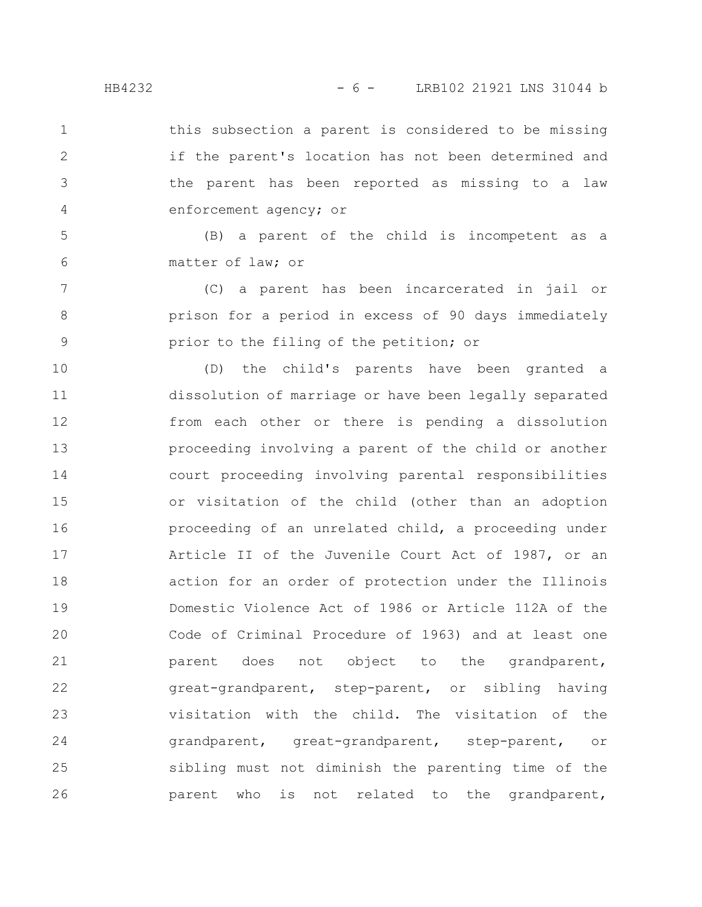this subsection a parent is considered to be missing if the parent's location has not been determined and the parent has been reported as missing to a law enforcement agency; or 1 2 3 4

(B) a parent of the child is incompetent as a matter of law; or 5 6

(C) a parent has been incarcerated in jail or prison for a period in excess of 90 days immediately prior to the filing of the petition; or 7 8 9

(D) the child's parents have been granted a dissolution of marriage or have been legally separated from each other or there is pending a dissolution proceeding involving a parent of the child or another court proceeding involving parental responsibilities or visitation of the child (other than an adoption proceeding of an unrelated child, a proceeding under Article II of the Juvenile Court Act of 1987, or an action for an order of protection under the Illinois Domestic Violence Act of 1986 or Article 112A of the Code of Criminal Procedure of 1963) and at least one parent does not object to the grandparent, great-grandparent, step-parent, or sibling having visitation with the child. The visitation of the grandparent, great-grandparent, step-parent, or sibling must not diminish the parenting time of the parent who is not related to the grandparent, 10 11 12 13 14 15 16 17 18 19 20 21 22 23 24 25 26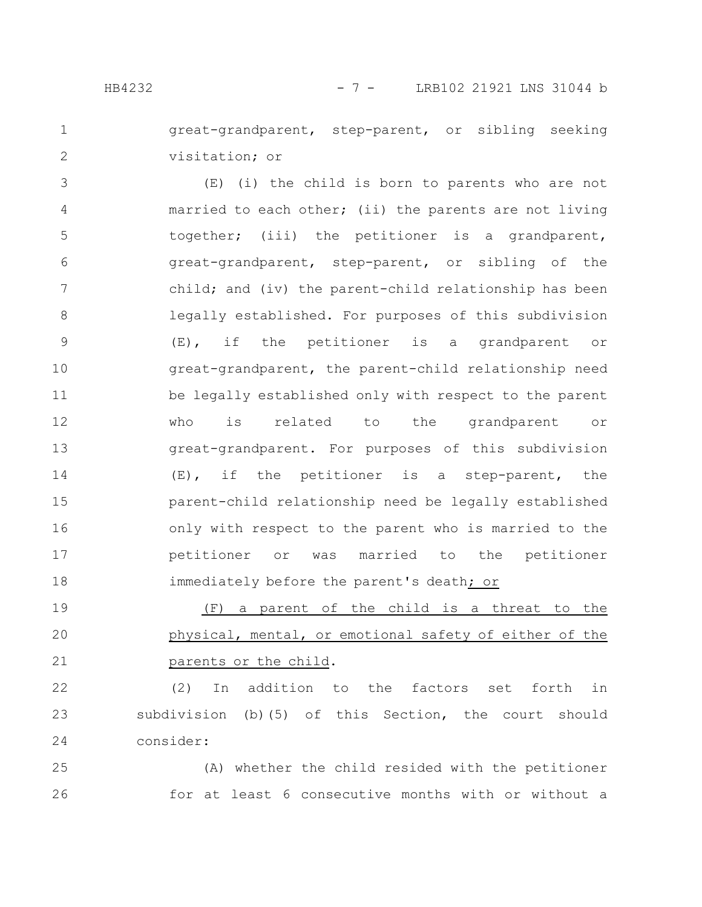great-grandparent, step-parent, or sibling seeking visitation; or 1 2

(E) (i) the child is born to parents who are not married to each other; (ii) the parents are not living together; (iii) the petitioner is a grandparent, great-grandparent, step-parent, or sibling of the child; and (iv) the parent-child relationship has been legally established. For purposes of this subdivision (E), if the petitioner is a grandparent or great-grandparent, the parent-child relationship need be legally established only with respect to the parent who is related to the grandparent or great-grandparent. For purposes of this subdivision (E), if the petitioner is a step-parent, the parent-child relationship need be legally established only with respect to the parent who is married to the petitioner or was married to the petitioner immediately before the parent's death; or 3 4 5 6 7 8 9 10 11 12 13 14 15 16 17 18

(F) a parent of the child is a threat to the physical, mental, or emotional safety of either of the parents or the child. 19 20 21

(2) In addition to the factors set forth in subdivision (b)(5) of this Section, the court should consider: 22 23 24

(A) whether the child resided with the petitioner for at least 6 consecutive months with or without a 25 26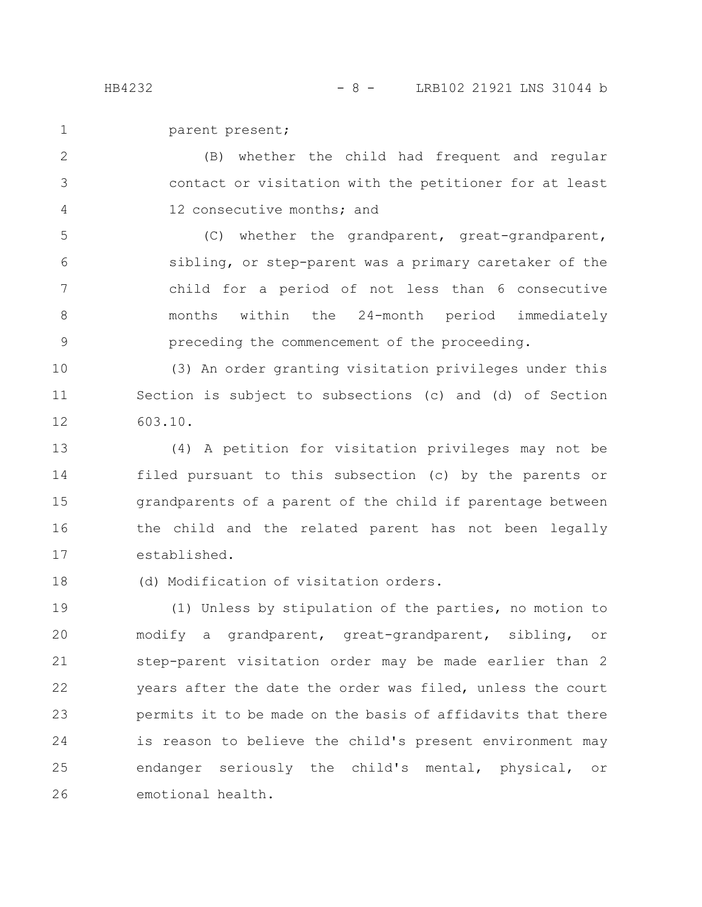2

3

4

parent present; 1

(B) whether the child had frequent and regular contact or visitation with the petitioner for at least 12 consecutive months; and

(C) whether the grandparent, great-grandparent, sibling, or step-parent was a primary caretaker of the child for a period of not less than 6 consecutive months within the 24-month period immediately preceding the commencement of the proceeding. 5 6 7 8 9

(3) An order granting visitation privileges under this Section is subject to subsections (c) and (d) of Section 603.10. 10 11 12

(4) A petition for visitation privileges may not be filed pursuant to this subsection (c) by the parents or grandparents of a parent of the child if parentage between the child and the related parent has not been legally established. 13 14 15 16 17

(d) Modification of visitation orders. 18

(1) Unless by stipulation of the parties, no motion to modify a grandparent, great-grandparent, sibling, or step-parent visitation order may be made earlier than 2 years after the date the order was filed, unless the court permits it to be made on the basis of affidavits that there is reason to believe the child's present environment may endanger seriously the child's mental, physical, or emotional health. 19 20 21 22 23 24 25 26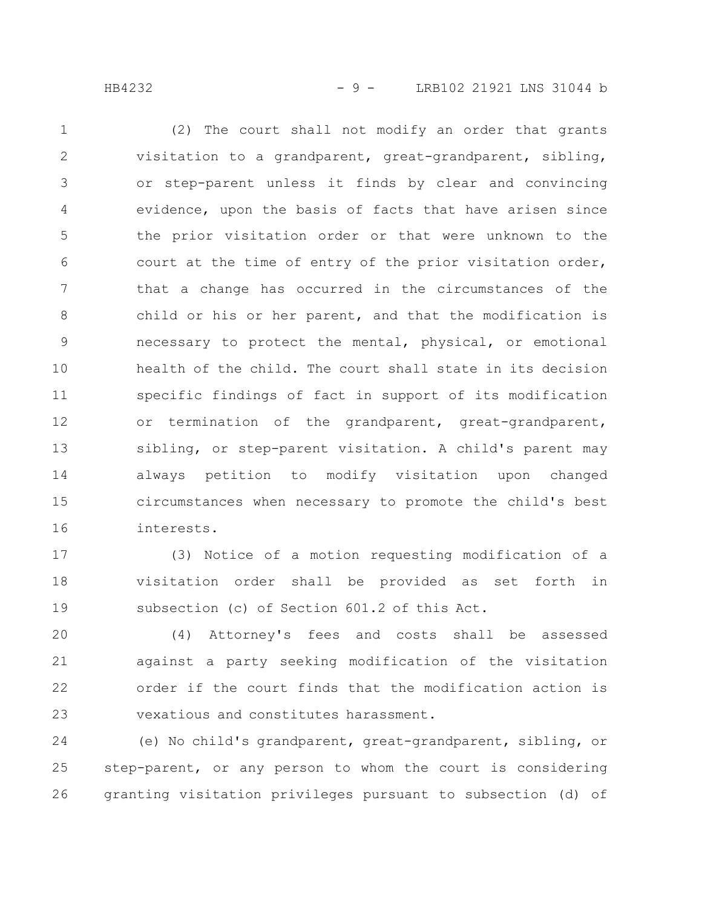(2) The court shall not modify an order that grants visitation to a grandparent, great-grandparent, sibling, or step-parent unless it finds by clear and convincing evidence, upon the basis of facts that have arisen since the prior visitation order or that were unknown to the court at the time of entry of the prior visitation order, that a change has occurred in the circumstances of the child or his or her parent, and that the modification is necessary to protect the mental, physical, or emotional health of the child. The court shall state in its decision specific findings of fact in support of its modification or termination of the grandparent, great-grandparent, sibling, or step-parent visitation. A child's parent may always petition to modify visitation upon changed circumstances when necessary to promote the child's best interests. 1 2 3 4 5 6 7 8 9 10 11 12 13 14 15 16

(3) Notice of a motion requesting modification of a visitation order shall be provided as set forth in subsection (c) of Section 601.2 of this Act. 17 18 19

(4) Attorney's fees and costs shall be assessed against a party seeking modification of the visitation order if the court finds that the modification action is vexatious and constitutes harassment. 20 21 22 23

(e) No child's grandparent, great-grandparent, sibling, or step-parent, or any person to whom the court is considering granting visitation privileges pursuant to subsection (d) of 24 25 26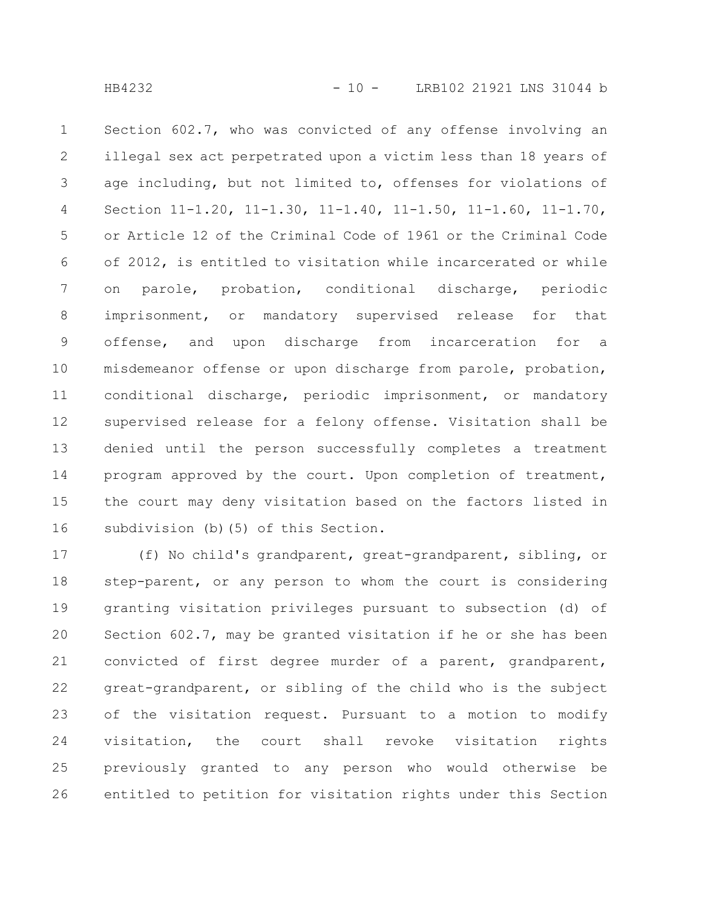Section 602.7, who was convicted of any offense involving an illegal sex act perpetrated upon a victim less than 18 years of age including, but not limited to, offenses for violations of Section 11-1.20, 11-1.30, 11-1.40, 11-1.50, 11-1.60, 11-1.70, or Article 12 of the Criminal Code of 1961 or the Criminal Code of 2012, is entitled to visitation while incarcerated or while on parole, probation, conditional discharge, periodic imprisonment, or mandatory supervised release for that offense, and upon discharge from incarceration for a misdemeanor offense or upon discharge from parole, probation, conditional discharge, periodic imprisonment, or mandatory supervised release for a felony offense. Visitation shall be denied until the person successfully completes a treatment program approved by the court. Upon completion of treatment, the court may deny visitation based on the factors listed in subdivision (b)(5) of this Section. 1 2 3 4 5 6 7 8 9 10 11 12 13 14 15 16

(f) No child's grandparent, great-grandparent, sibling, or step-parent, or any person to whom the court is considering granting visitation privileges pursuant to subsection (d) of Section 602.7, may be granted visitation if he or she has been convicted of first degree murder of a parent, grandparent, great-grandparent, or sibling of the child who is the subject of the visitation request. Pursuant to a motion to modify visitation, the court shall revoke visitation rights previously granted to any person who would otherwise be entitled to petition for visitation rights under this Section 17 18 19 20 21 22 23 24 25 26